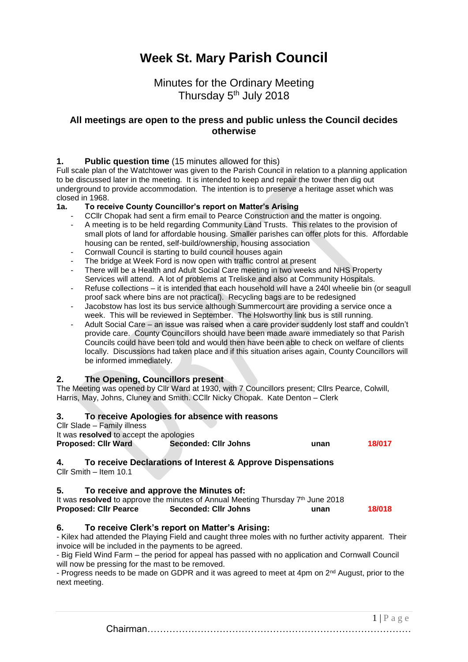# **Week St. Mary Parish Council**

Minutes for the Ordinary Meeting Thursday 5<sup>th</sup> July 2018

## **All meetings are open to the press and public unless the Council decides otherwise**

#### **1. Public question time** (15 minutes allowed for this)

Full scale plan of the Watchtower was given to the Parish Council in relation to a planning application to be discussed later in the meeting. It is intended to keep and repair the tower then dig out underground to provide accommodation. The intention is to preserve a heritage asset which was closed in 1968.

#### **1a. To receive County Councillor's report on Matter's Arising**

- CCIIr Chopak had sent a firm email to Pearce Construction and the matter is ongoing.
- A meeting is to be held regarding Community Land Trusts. This relates to the provision of small plots of land for affordable housing. Smaller parishes can offer plots for this. Affordable housing can be rented, self-build/ownership, housing association
- Cornwall Council is starting to build council houses again
- The bridge at Week Ford is now open with traffic control at present
- There will be a Health and Adult Social Care meeting in two weeks and NHS Property Services will attend. A lot of problems at Treliske and also at Community Hospitals.
- Refuse collections it is intended that each household will have a 240l wheelie bin (or seagull proof sack where bins are not practical). Recycling bags are to be redesigned
- Jacobstow has lost its bus service although Summercourt are providing a service once a week. This will be reviewed in September. The Holsworthy link bus is still running.
- Adult Social Care an issue was raised when a care provider suddenly lost staff and couldn't provide care. County Councillors should have been made aware immediately so that Parish Councils could have been told and would then have been able to check on welfare of clients locally. Discussions had taken place and if this situation arises again, County Councillors will be informed immediately.

#### **2. The Opening, Councillors present**

The Meeting was opened by Cllr Ward at 1930, with 7 Councillors present; Cllrs Pearce, Colwill, Harris, May, Johns, Cluney and Smith. CCllr Nicky Chopak. Kate Denton – Clerk

## **3. To receive Apologies for absence with reasons**

Cllr Slade – Family illness

It was **resolved** to accept the apologies **Proposed: Cllr Ward Seconded: Cllr Johns unan 18/017**

## **4. To receive Declarations of Interest & Approve Dispensations**

Cllr Smith – Item 10.1

## **5. To receive and approve the Minutes of:**

| It was resolved to approve the minutes of Annual Meeting Thursday 7th June 2018 |                             |      |        |  |
|---------------------------------------------------------------------------------|-----------------------------|------|--------|--|
| <b>Proposed: Cllr Pearce</b>                                                    | <b>Seconded: Cllr Johns</b> | unan | 18/018 |  |

## **6. To receive Clerk's report on Matter's Arising:**

- Kilex had attended the Playing Field and caught three moles with no further activity apparent. Their invoice will be included in the payments to be agreed.

- Big Field Wind Farm – the period for appeal has passed with no application and Cornwall Council will now be pressing for the mast to be removed.

- Progress needs to be made on GDPR and it was agreed to meet at 4pm on 2<sup>nd</sup> August, prior to the next meeting.

> $1 | P a e e$ Chairman…………………………………………………………………………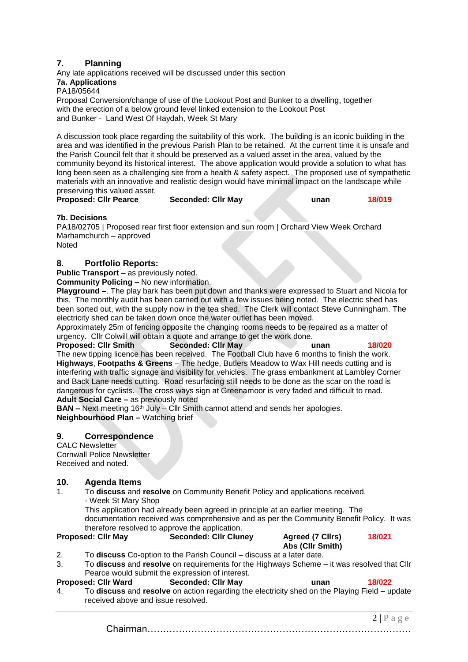## **7. Planning**

Any late applications received will be discussed under this section **7a. Applications**

PA18/05644

Proposal Conversion/change of use of the Lookout Post and Bunker to a dwelling, together with the erection of a below ground level linked extension to the Lookout Post and Bunker - Land West Of Haydah, Week St Mary

A discussion took place regarding the suitability of this work. The building is an iconic building in the area and was identified in the previous Parish Plan to be retained. At the current time it is unsafe and the Parish Council felt that it should be preserved as a valued asset in the area, valued by the community beyond its historical interest. The above application would provide a solution to what has long been seen as a challenging site from a health & safety aspect. The proposed use of sympathetic materials with an innovative and realistic design would have minimal impact on the landscape while preserving this valued asset.

**Proposed: Cllr Pearce Seconded: Cllr May unan 18/019**

#### **7b. Decisions**

PA18/02705 | Proposed rear first floor extension and sun room | Orchard View Week Orchard Marhamchurch – approved Noted

## **8. Portfolio Reports:**

**Public Transport –** as previously noted.

**Community Policing –** No new information.

**Playground** –. The play bark has been put down and thanks were expressed to Stuart and Nicola for this. The monthly audit has been carried out with a few issues being noted. The electric shed has been sorted out, with the supply now in the tea shed. The Clerk will contact Steve Cunningham. The electricity shed can be taken down once the water outlet has been moved.

Approximately 25m of fencing opposite the changing rooms needs to be repaired as a matter of urgency. Cllr Colwill will obtain a quote and arrange to get the work done.

**Proposed: Cllr Smith Seconded: Cllr May unan 18/020** The new tipping licence has been received. The Football Club have 6 months to finish the work. **Highways**, **Footpaths & Greens** – The hedge, Butlers Meadow to Wax Hill needs cutting and is interfering with traffic signage and visibility for vehicles. The grass embankment at Lambley Corner and Back Lane needs cutting. Road resurfacing still needs to be done as the scar on the road is dangerous for cyclists. The cross ways sign at Greenamoor is very faded and difficult to read. **Adult Social Care –** as previously noted

**BAN –** Next meeting 16<sup>th</sup> July – Cllr Smith cannot attend and sends her apologies. **Neighbourhood Plan –** Watching brief

#### **9. Correspondence**

CALC Newsletter Cornwall Police Newsletter Received and noted.

#### **10. Agenda Items**

1. To **discuss** and **resolve** on Community Benefit Policy and applications received. - Week St Mary Shop

This application had already been agreed in principle at an earlier meeting. The documentation received was comprehensive and as per the Community Benefit Policy. It was therefore resolved to approve the application.

#### **Proposed: Cllr May Seconded: Cllr Cluney Agreed (7 Cllrs) 18/021**

- **Abs (Cllr Smith)** 2. To **discuss** Co-option to the Parish Council – discuss at a later date.
- 3. To **discuss** and **resolve** on requirements for the Highways Scheme it was resolved that Cllr Pearce would submit the expression of interest.

#### **Proposed: Cllr Ward Seconded: Cllr May unan 18/022** 4. To **discuss** and **resolve** on action regarding the electricity shed on the Playing Field – update

received above and issue resolved.